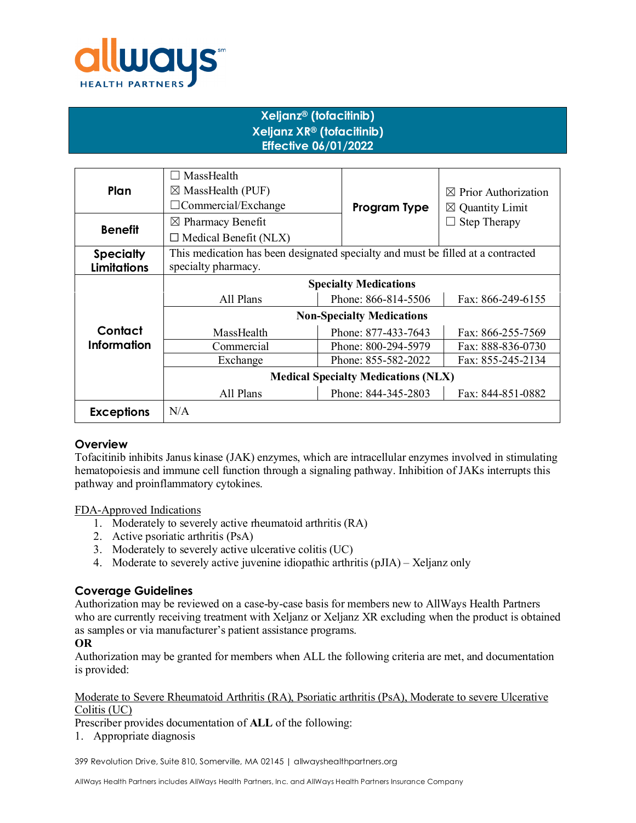

# **Xeljanz® (tofacitinib) Xeljanz XR® (tofacitinib) Effective 06/01/2022**

| Plan               | MassHealth<br>$\boxtimes$ MassHealth (PUF)                                       |                     | $\boxtimes$ Prior Authorization |  |
|--------------------|----------------------------------------------------------------------------------|---------------------|---------------------------------|--|
|                    | $\Box$ Commercial/Exchange                                                       | Program Type        | $\boxtimes$ Quantity Limit      |  |
| <b>Benefit</b>     | $\boxtimes$ Pharmacy Benefit                                                     |                     | <b>Step Therapy</b>             |  |
|                    | $\Box$ Medical Benefit (NLX)                                                     |                     |                                 |  |
| <b>Specialty</b>   | This medication has been designated specialty and must be filled at a contracted |                     |                                 |  |
| <b>Limitations</b> | specialty pharmacy.                                                              |                     |                                 |  |
|                    | <b>Specialty Medications</b>                                                     |                     |                                 |  |
|                    | All Plans                                                                        | Phone: 866-814-5506 | Fax: 866-249-6155               |  |
|                    | <b>Non-Specialty Medications</b>                                                 |                     |                                 |  |
| Contact            | MassHealth                                                                       | Phone: 877-433-7643 | Fax: 866-255-7569               |  |
| <b>Information</b> | Commercial                                                                       | Phone: 800-294-5979 | Fax: 888-836-0730               |  |
|                    | Exchange                                                                         | Phone: 855-582-2022 | Fax: 855-245-2134               |  |
|                    | <b>Medical Specialty Medications (NLX)</b>                                       |                     |                                 |  |
|                    | All Plans                                                                        | Phone: 844-345-2803 | Fax: 844-851-0882               |  |
| <b>Exceptions</b>  | N/A                                                                              |                     |                                 |  |

# **Overview**

Tofacitinib inhibits Janus kinase (JAK) enzymes, which are intracellular enzymes involved in stimulating hematopoiesis and immune cell function through a signaling pathway. Inhibition of JAKs interrupts this pathway and proinflammatory cytokines.

FDA-Approved Indications

- 1. Moderately to severely active rheumatoid arthritis (RA)
- 2. Active psoriatic arthritis (PsA)
- 3. Moderately to severely active ulcerative colitis (UC)
- 4. Moderate to severely active juvenine idiopathic arthritis (pJIA) Xeljanz only

# **Coverage Guidelines**

Authorization may be reviewed on a case-by-case basis for members new to AllWays Health Partners who are currently receiving treatment with Xeljanz or Xeljanz XR excluding when the product is obtained as samples or via manufacturer's patient assistance programs.

## **OR**

Authorization may be granted for members when ALL the following criteria are met, and documentation is provided:

#### Moderate to Severe Rheumatoid Arthritis (RA), Psoriatic arthritis (PsA), Moderate to severe Ulcerative Colitis (UC)

Prescriber provides documentation of **ALL** of the following:

1. Appropriate diagnosis

399 Revolution Drive, Suite 810, Somerville, MA 02145 | allwayshealthpartners.org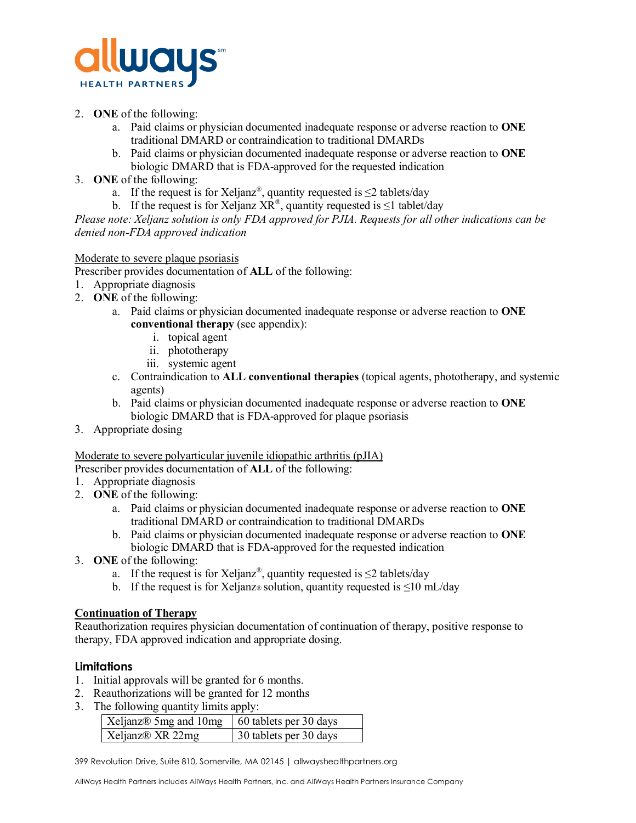

- 2. **ONE** of the following:
	- a. Paid claims or physician documented inadequate response or adverse reaction to **ONE** traditional DMARD or contraindication to traditional DMARDs
	- b. Paid claims or physician documented inadequate response or adverse reaction to **ONE** biologic DMARD that is FDA-approved for the requested indication
- 3. **ONE** of the following:
	- a. If the request is for Xeljanz<sup>®</sup>, quantity requested is  $\leq$  2 tablets/day
	- b. If the request is for Xeljanz  $X\overline{R}^{\textcircled{\tiny{\textcirc}}}$ , quantity requested is  $\leq 1$  tablet/day

*Please note: Xeljanz solution is only FDA approved for PJIA. Requests for all other indications can be denied non-FDA approved indication* 

## Moderate to severe plaque psoriasis

- Prescriber provides documentation of **ALL** of the following:
- 1. Appropriate diagnosis
- 2. **ONE** of the following:
	- a. Paid claims or physician documented inadequate response or adverse reaction to **ONE conventional therapy** (see appendix):
		- i. topical agent
			- ii. phototherapy
			- iii. systemic agent
	- c. Contraindication to **ALL conventional therapies** (topical agents, phototherapy, and systemic agents)
	- b. Paid claims or physician documented inadequate response or adverse reaction to **ONE**  biologic DMARD that is FDA-approved for plaque psoriasis
- 3. Appropriate dosing

## Moderate to severe polyarticular juvenile idiopathic arthritis (pJIA)

Prescriber provides documentation of **ALL** of the following:

- 1. Appropriate diagnosis
- 2. **ONE** of the following:
	- a. Paid claims or physician documented inadequate response or adverse reaction to **ONE** traditional DMARD or contraindication to traditional DMARDs
	- b. Paid claims or physician documented inadequate response or adverse reaction to **ONE** biologic DMARD that is FDA-approved for the requested indication
- 3. **ONE** of the following:
	- a. If the request is for Xeljanz®, quantity requested is  $\leq$  2 tablets/day
	- b. If the request is for Xeljanz® solution, quantity requested is  $\leq 10$  mL/day

## **Continuation of Therapy**

Reauthorization requires physician documentation of continuation of therapy, positive response to therapy, FDA approved indication and appropriate dosing.

## **Limitations**

- 1. Initial approvals will be granted for 6 months.
- 2. Reauthorizations will be granted for 12 months
- 3. The following quantity limits apply:

| Xeljanz $\&$ 5mg and 10mg   60 tablets per 30 days |                        |
|----------------------------------------------------|------------------------|
| Xeljanz® XR 22mg                                   | 30 tablets per 30 days |

399 Revolution Drive, Suite 810, Somerville, MA 02145 | allwayshealthpartners.org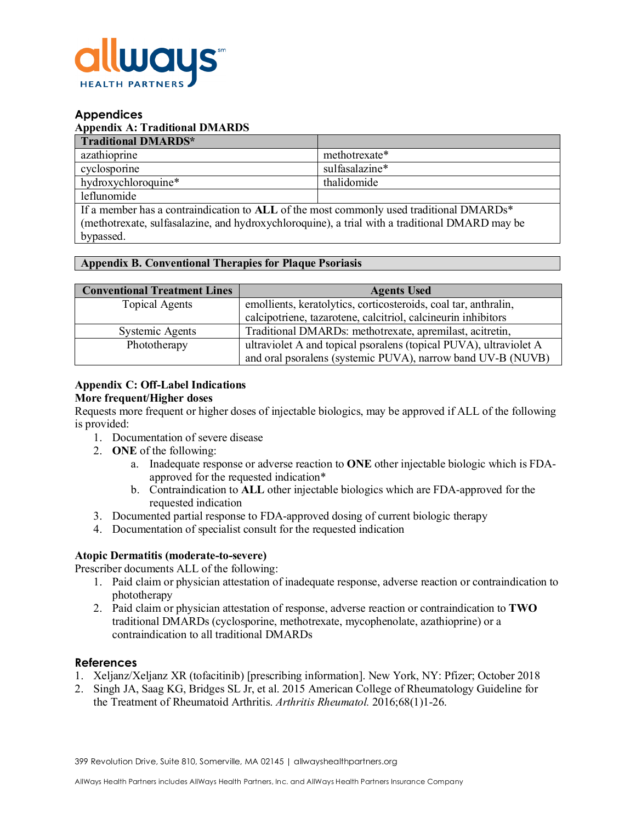

## **Appendices**

## **Appendix A: Traditional DMARDS**

| <b>Traditional DMARDS*</b> |                |
|----------------------------|----------------|
| azathioprine               | methotrexate*  |
| cyclosporine               | sulfasalazine* |
| hydroxychloroquine*        | thalidomide    |
| leflunomide                |                |

If a member has a contraindication to **ALL** of the most commonly used traditional DMARDs\* (methotrexate, sulfasalazine, and hydroxychloroquine), a trial with a traditional DMARD may be bypassed.

## **Appendix B. Conventional Therapies for Plaque Psoriasis**

| <b>Conventional Treatment Lines</b> | <b>Agents Used</b>                                                                                                               |  |
|-------------------------------------|----------------------------------------------------------------------------------------------------------------------------------|--|
| <b>Topical Agents</b>               | emollients, keratolytics, corticosteroids, coal tar, anthralin,                                                                  |  |
|                                     | calcipotriene, tazarotene, calcitriol, calcineurin inhibitors                                                                    |  |
| Systemic Agents                     | Traditional DMARDs: methotrexate, apremilast, acitretin,                                                                         |  |
| Phototherapy                        | ultraviolet A and topical psoralens (topical PUVA), ultraviolet A<br>and oral psoralens (systemic PUVA), narrow band UV-B (NUVB) |  |

# **Appendix C: Off-Label Indications**

## **More frequent/Higher doses**

Requests more frequent or higher doses of injectable biologics, may be approved if ALL of the following is provided:

- 1. Documentation of severe disease
- 2. **ONE** of the following:
	- a. Inadequate response or adverse reaction to **ONE** other injectable biologic which is FDAapproved for the requested indication\*
	- b. Contraindication to **ALL** other injectable biologics which are FDA-approved for the requested indication
- 3. Documented partial response to FDA-approved dosing of current biologic therapy
- 4. Documentation of specialist consult for the requested indication

## **Atopic Dermatitis (moderate-to-severe)**

Prescriber documents ALL of the following:

- 1. Paid claim or physician attestation of inadequate response, adverse reaction or contraindication to phototherapy
- 2. Paid claim or physician attestation of response, adverse reaction or contraindication to **TWO** traditional DMARDs (cyclosporine, methotrexate, mycophenolate, azathioprine) or a contraindication to all traditional DMARDs

## **References**

- 1. Xeljanz/Xeljanz XR (tofacitinib) [prescribing information]. New York, NY: Pfizer; October 2018
- 2. [Singh JA,](http://www.ncbi.nlm.nih.gov/pubmed/?term=Singh%20JA%5BAuthor%5D&cauthor=true&cauthor_uid=26545940) [Saag KG,](http://www.ncbi.nlm.nih.gov/pubmed/?term=Saag%20KG%5BAuthor%5D&cauthor=true&cauthor_uid=26545940) [Bridges SL Jr,](http://www.ncbi.nlm.nih.gov/pubmed/?term=Bridges%20SL%20Jr%5BAuthor%5D&cauthor=true&cauthor_uid=26545940) et al. 2015 American College of Rheumatology Guideline for the Treatment of Rheumatoid Arthritis. *Arthritis [Rheumatol.](http://www.ncbi.nlm.nih.gov/pubmed/26545940)* 2016;68(1)1-26.

399 Revolution Drive, Suite 810, Somerville, MA 02145 | allwayshealthpartners.org